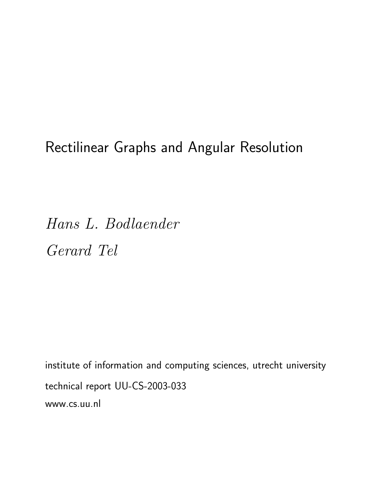# Rectilinear Graphs and Angular Resolution

Hans L. Bodlaender Gerard Tel

institute of information and computing sciences, utrecht university technical report UU-CS-2003-033 www.cs.uu.nl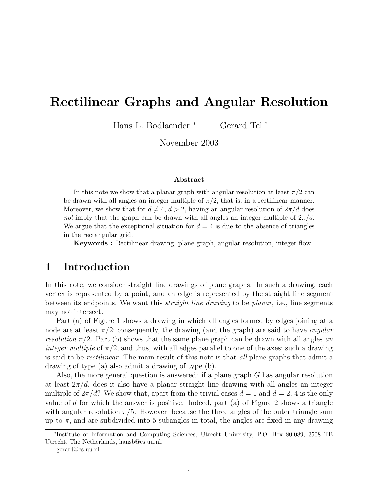## Rectilinear Graphs and Angular Resolution

Hans L. Bodlaender <sup>∗</sup> Gerard Tel †

November 2003

#### Abstract

In this note we show that a planar graph with angular resolution at least  $\pi/2$  can be drawn with all angles an integer multiple of  $\pi/2$ , that is, in a rectilinear manner. Moreover, we show that for  $d \neq 4$ ,  $d > 2$ , having an angular resolution of  $2\pi/d$  does not imply that the graph can be drawn with all angles an integer multiple of  $2\pi/d$ . We argue that the exceptional situation for  $d = 4$  is due to the absence of triangles in the rectangular grid.

Keywords : Rectilinear drawing, plane graph, angular resolution, integer flow.

### 1 Introduction

In this note, we consider straight line drawings of plane graphs. In such a drawing, each vertex is represented by a point, and an edge is represented by the straight line segment between its endpoints. We want this *straight line drawing* to be *planar*, i.e., line segments may not intersect.

Part (a) of Figure 1 shows a drawing in which all angles formed by edges joining at a node are at least  $\pi/2$ ; consequently, the drawing (and the graph) are said to have *angular* resolution  $\pi/2$ . Part (b) shows that the same plane graph can be drawn with all angles an integer multiple of  $\pi/2$ , and thus, with all edges parallel to one of the axes; such a drawing is said to be rectilinear. The main result of this note is that all plane graphs that admit a drawing of type (a) also admit a drawing of type (b).

Also, the more general question is answered: if a plane graph G has angular resolution at least  $2\pi/d$ , does it also have a planar straight line drawing with all angles an integer multiple of  $2\pi/d$ ? We show that, apart from the trivial cases  $d = 1$  and  $d = 2$ , 4 is the only value of d for which the answer is positive. Indeed, part (a) of Figure 2 shows a triangle with angular resolution  $\pi/5$ . However, because the three angles of the outer triangle sum up to  $\pi$ , and are subdivided into 5 subangles in total, the angles are fixed in any drawing

<sup>∗</sup> Institute of Information and Computing Sciences, Utrecht University, P.O. Box 80.089, 3508 TB Utrecht, The Netherlands, hansb@cs.uu.nl.

<sup>†</sup>gerard@cs.uu.nl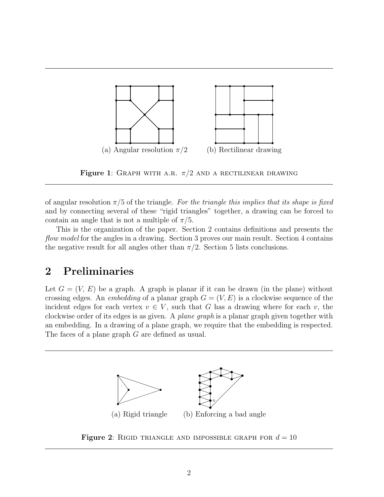

Figure 1: GRAPH WITH A.R.  $\pi/2$  AND A RECTILINEAR DRAWING

of angular resolution  $\pi/5$  of the triangle. For the triangle this implies that its shape is fixed and by connecting several of these "rigid triangles" together, a drawing can be forced to contain an angle that is not a multiple of  $\pi/5$ .

This is the organization of the paper. Section 2 contains definitions and presents the flow model for the angles in a drawing. Section 3 proves our main result. Section 4 contains the negative result for all angles other than  $\pi/2$ . Section 5 lists conclusions.

## 2 Preliminaries

Let  $G = (V, E)$  be a graph. A graph is planar if it can be drawn (in the plane) without crossing edges. An *embedding* of a planar graph  $G = (V, E)$  is a clockwise sequence of the incident edges for each vertex  $v \in V$ , such that G has a drawing where for each v, the clockwise order of its edges is as given. A plane graph is a planar graph given together with an embedding. In a drawing of a plane graph, we require that the embedding is respected. The faces of a plane graph G are defined as usual.



Figure 2: RIGID TRIANGLE AND IMPOSSIBLE GRAPH FOR  $d = 10$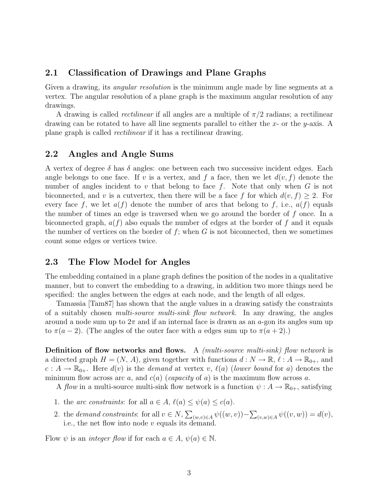#### 2.1 Classification of Drawings and Plane Graphs

Given a drawing, its *angular resolution* is the minimum angle made by line segments at a vertex. The angular resolution of a plane graph is the maximum angular resolution of any drawings.

A drawing is called *rectilinear* if all angles are a multiple of  $\pi/2$  radians; a rectilinear drawing can be rotated to have all line segments parallel to either the  $x$ - or the  $y$ -axis. A plane graph is called rectilinear if it has a rectilinear drawing.

#### 2.2 Angles and Angle Sums

A vertex of degree  $\delta$  has  $\delta$  angles: one between each two successive incident edges. Each angle belongs to one face. If v is a vertex, and f a face, then we let  $d(v, f)$  denote the number of angles incident to v that belong to face  $f$ . Note that only when  $G$  is not biconnected, and v is a cutvertex, then there will be a face f for which  $d(v, f) \geq 2$ . For every face f, we let  $a(f)$  denote the number of arcs that belong to f, i.e.,  $a(f)$  equals the number of times an edge is traversed when we go around the border of f once. In a biconnected graph,  $a(f)$  also equals the number of edges at the border of f and it equals the number of vertices on the border of f; when  $G$  is not biconnected, then we sometimes count some edges or vertices twice.

#### 2.3 The Flow Model for Angles

The embedding contained in a plane graph defines the position of the nodes in a qualitative manner, but to convert the embedding to a drawing, in addition two more things need be specified: the angles between the edges at each node, and the length of all edges.

Tamassia [Tam87] has shown that the angle values in a drawing satisfy the constraints of a suitably chosen multi-source multi-sink flow network. In any drawing, the angles around a node sum up to  $2\pi$  and if an internal face is drawn as an a-gon its angles sum up to  $\pi(a-2)$ . (The angles of the outer face with a edges sum up to  $\pi(a+2)$ .)

**Definition of flow networks and flows.** A *(multi-source multi-sink)* flow network is a directed graph  $H = (N, A)$ , given together with functions  $d : N \to \mathbb{R}, \ell : A \to \mathbb{R}_{0+}$ , and  $c : A \to \mathbb{R}_{0+}$ . Here  $d(v)$  is the demand at vertex v,  $\ell(a)$  (lower bound for a) denotes the minimum flow across arc a, and  $c(a)$  (capacity of a) is the maximum flow across a.

A flow in a multi-source multi-sink flow network is a function  $\psi : A \to \mathbb{R}_{0+}$ , satisfying

- 1. the arc constraints: for all  $a \in A$ ,  $\ell(a) \leq \psi(a) \leq c(a)$ .
- 2. the *demand constraints*: for all  $v \in N$ ,  $\overline{\phantom{0}}$  $(w,v) \in A$   $\psi((w,v)) \overline{ }$  $(v,w) \in A \psi((v,w)) = d(v),$ i.e., the net flow into node  $v$  equals its demand.

Flow  $\psi$  is an *integer flow* if for each  $a \in A$ ,  $\psi(a) \in \mathbb{N}$ .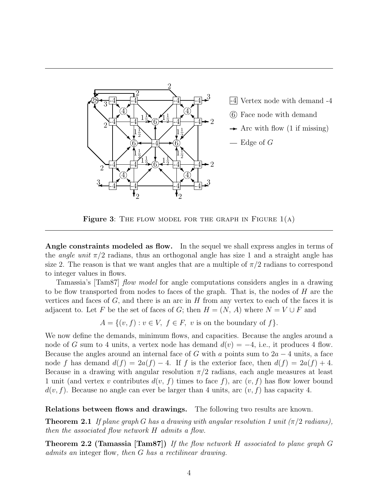

Figure 3: THE FLOW MODEL FOR THE GRAPH IN FIGURE  $1(A)$ 

Angle constraints modeled as flow. In the sequel we shall express angles in terms of the *angle unit*  $\pi/2$  radians, thus an orthogonal angle has size 1 and a straight angle has size 2. The reason is that we want angles that are a multiple of  $\pi/2$  radians to correspond to integer values in flows.

Tamassia's [Tam87] *flow model* for angle computations considers angles in a drawing to be flow transported from nodes to faces of the graph. That is, the nodes of H are the vertices and faces of  $G$ , and there is an arc in  $H$  from any vertex to each of the faces it is adjacent to. Let F be the set of faces of G; then  $H = (N, A)$  where  $N = V \cup F$  and

 $A = \{(v, f) : v \in V, f \in F, v \text{ is on the boundary of } f\}.$ 

We now define the demands, minimum flows, and capacities. Because the angles around a node of G sum to 4 units, a vertex node has demand  $d(v) = -4$ , i.e., it produces 4 flow. Because the angles around an internal face of G with a points sum to  $2a - 4$  units, a face node f has demand  $d(f) = 2a(f) - 4$ . If f is the exterior face, then  $d(f) = 2a(f) + 4$ . Because in a drawing with angular resolution  $\pi/2$  radians, each angle measures at least 1 unit (and vertex v contributes  $d(v, f)$  times to face f), arc  $(v, f)$  has flow lower bound  $d(v, f)$ . Because no angle can ever be larger than 4 units, arc  $(v, f)$  has capacity 4.

Relations between flows and drawings. The following two results are known.

**Theorem 2.1** If plane graph G has a drawing with angular resolution 1 unit ( $\pi/2$  radians), then the associated flow network H admits a flow.

Theorem 2.2 (Tamassia [Tam87]) If the flow network H associated to plane graph G admits an integer flow, then G has a rectilinear drawing.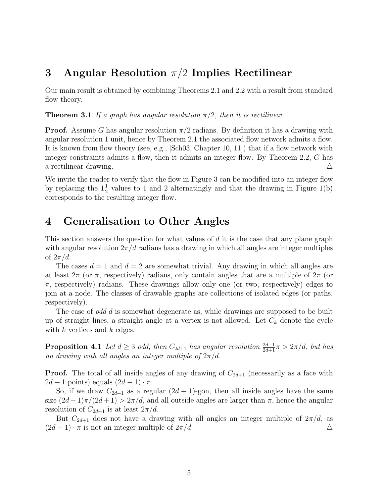## 3 Angular Resolution  $\pi/2$  Implies Rectilinear

Our main result is obtained by combining Theorems 2.1 and 2.2 with a result from standard flow theory.

**Theorem 3.1** If a graph has angular resolution  $\pi/2$ , then it is rectilinear.

**Proof.** Assume G has angular resolution  $\pi/2$  radians. By definition it has a drawing with angular resolution 1 unit, hence by Theorem 2.1 the associated flow network admits a flow. It is known from flow theory (see, e.g., [Sch03, Chapter 10, 11]) that if a flow network with integer constraints admits a flow, then it admits an integer flow. By Theorem 2.2, G has a rectilinear drawing.  $\triangle$ 

We invite the reader to verify that the flow in Figure 3 can be modified into an integer flow by replacing the  $1\frac{1}{2}$  values to 1 and 2 alternatingly and that the drawing in Figure 1(b) corresponds to the resulting integer flow.

## 4 Generalisation to Other Angles

This section answers the question for what values of  $d$  it is the case that any plane graph with angular resolution  $2\pi/d$  radians has a drawing in which all angles are integer multiples of  $2\pi/d$ .

The cases  $d = 1$  and  $d = 2$  are somewhat trivial. Any drawing in which all angles are at least  $2\pi$  (or  $\pi$ , respectively) radians, only contain angles that are a multiple of  $2\pi$  (or  $\pi$ , respectively) radians. These drawings allow only one (or two, respectively) edges to join at a node. The classes of drawable graphs are collections of isolated edges (or paths, respectively).

The case of *odd d* is somewhat degenerate as, while drawings are supposed to be built up of straight lines, a straight angle at a vertex is not allowed. Let  $C_k$  denote the cycle with  $k$  vertices and  $k$  edges.

**Proposition 4.1** Let  $d \geq 3$  odd; then  $C_{2d+1}$  has angular resolution  $\frac{2d-1}{2d+1}\pi > 2\pi/d$ , but has no drawing with all angles an integer multiple of  $2\pi/d$ .

**Proof.** The total of all inside angles of any drawing of  $C_{2d+1}$  (necessarily as a face with  $2d + 1$  points) equals  $(2d - 1) \cdot \pi$ .

So, if we draw  $C_{2d+1}$  as a regular  $(2d+1)$ -gon, then all inside angles have the same size  $(2d-1)\pi/(2d+1) > 2\pi/d$ , and all outside angles are larger than  $\pi$ , hence the angular resolution of  $C_{2d+1}$  is at least  $2\pi/d$ .

But  $C_{2d+1}$  does not have a drawing with all angles an integer multiple of  $2\pi/d$ , as  $(2d-1) \cdot \pi$  is not an integer multiple of  $2\pi/d$ .  $\Delta$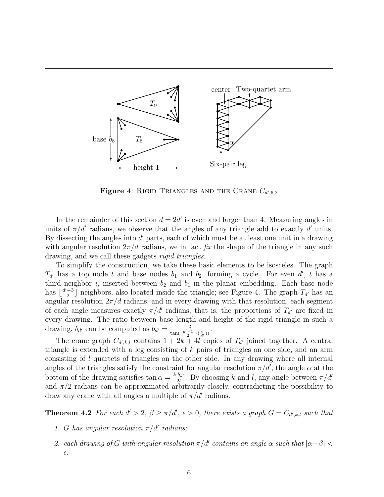

Figure 4: RIGID TRIANGLES AND THE CRANE  $C_{d',6,2}$ 

In the remainder of this section  $d = 2d'$  is even and larger than 4. Measuring angles in units of  $\pi/d'$  radians, we observe that the angles of any triangle add to exactly d'units. By dissecting the angles into  $d'$  parts, each of which must be at least one unit in a drawing with angular resolution  $2\pi/d$  radians, we in fact fix the shape of the triangle in any such drawing, and we call these gadgets *rigid triangles*.

To simplify the construction, we take these basic elements to be isosceles. The graph  $T_{d'}$  has a top node t and base nodes  $b_1$  and  $b_2$ , forming a cycle. For even d', t has a third neighbor i, inserted between  $b_2$  and  $b_1$  in the planar embedding. Each base node has  $\frac{d'-3}{2}$  $\frac{-3}{2}$  neighbors, also located inside the triangle; see Figure 4. The graph  $T_{d'}$  has an angular resolution  $2\pi/d$  radians, and in every drawing with that resolution, each segment of each angle measures exactly  $\pi/d'$  radians, that is, the proportions of  $T_{d'}$  are fixed in every drawing. The ratio between base length and height of the rigid triangle in such a drawing,  $b_{d'}$  can be computed as  $b_{d'} = \frac{2}{\tan((d'-))}$  $rac{2}{\tan(\lfloor \frac{d'-1}{2}\rfloor \cdot (\frac{\pi}{d'}))}$ .

The crane graph  $C_{d',k,l}$  contains  $1 + 2k + 4l$  copies of  $T_{d'}$  joined together. A central triangle is extended with a leg consisting of k pairs of triangles on one side, and an arm consisting of l quartets of triangles on the other side. In any drawing where all internal angles of the triangles satisfy the constraint for angular resolution  $\pi/d'$ , the angle  $\alpha$  at the bottom of the drawing satisfies tan  $\alpha = \frac{k \cdot b_{d'}}{2l}$  $\frac{b_{d'}}{2l}$ . By choosing k and l, any angle between  $\pi/d'$ and  $\pi/2$  radians can be approximated arbitrarily closely, contradicting the possibility to draw any crane with all angles a multiple of  $\pi/d'$  radians.

**Theorem 4.2** For each  $d' > 2$ ,  $\beta \geq \pi/d'$ ,  $\epsilon > 0$ , there exists a graph  $G = C_{d',k,l}$  such that

- 1. G has angular resolution  $\pi/d'$  radians;
- 2. each drawing of G with angular resolution  $\pi/d'$  contains an angle  $\alpha$  such that  $|\alpha-\beta|$  <  $\epsilon.$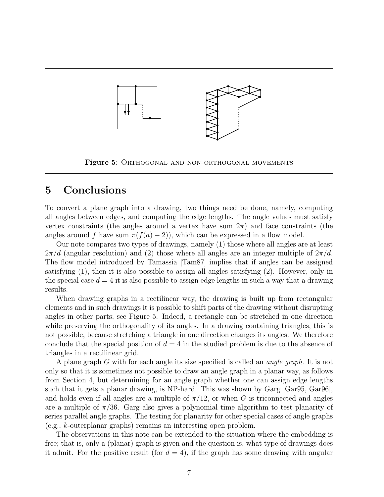

Figure 5: ORTHOGONAL AND NON-ORTHOGONAL MOVEMENTS

## 5 Conclusions

To convert a plane graph into a drawing, two things need be done, namely, computing all angles between edges, and computing the edge lengths. The angle values must satisfy vertex constraints (the angles around a vertex have sum  $2\pi$ ) and face constraints (the angles around f have sum  $\pi(f(a) - 2)$ , which can be expressed in a flow model.

Our note compares two types of drawings, namely (1) those where all angles are at least  $2\pi/d$  (angular resolution) and (2) those where all angles are an integer multiple of  $2\pi/d$ . The flow model introduced by Tamassia [Tam87] implies that if angles can be assigned satisfying (1), then it is also possible to assign all angles satisfying (2). However, only in the special case  $d = 4$  it is also possible to assign edge lengths in such a way that a drawing results.

When drawing graphs in a rectilinear way, the drawing is built up from rectangular elements and in such drawings it is possible to shift parts of the drawing without disrupting angles in other parts; see Figure 5. Indeed, a rectangle can be stretched in one direction while preserving the orthogonality of its angles. In a drawing containing triangles, this is not possible, because stretching a triangle in one direction changes its angles. We therefore conclude that the special position of  $d = 4$  in the studied problem is due to the absence of triangles in a rectilinear grid.

A plane graph G with for each angle its size specified is called an *angle graph*. It is not only so that it is sometimes not possible to draw an angle graph in a planar way, as follows from Section 4, but determining for an angle graph whether one can assign edge lengths such that it gets a planar drawing, is NP-hard. This was shown by Garg [Gar95, Gar96], and holds even if all angles are a multiple of  $\pi/12$ , or when G is triconnected and angles are a multiple of  $\pi/36$ . Garg also gives a polynomial time algorithm to test planarity of series parallel angle graphs. The testing for planarity for other special cases of angle graphs (e.g., k-outerplanar graphs) remains an interesting open problem.

The observations in this note can be extended to the situation where the embedding is free; that is, only a (planar) graph is given and the question is, what type of drawings does it admit. For the positive result (for  $d = 4$ ), if the graph has some drawing with angular